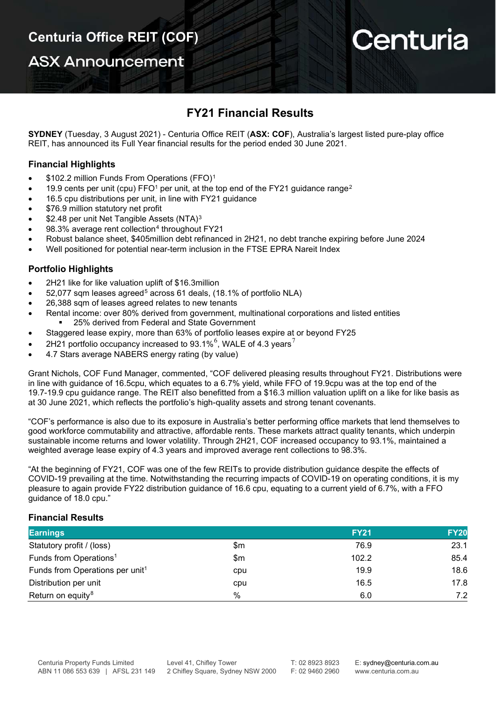**ASX Announcement** 

# Centuria

## **FY21 Financial Results**

**SYDNEY** (Tuesday, 3 August 2021) - Centuria Office REIT (**ASX: COF**), Australia's largest listed pure-play office REIT, has announced its Full Year financial results for the period ended 30 June 2021.

## **Financial Highlights**

- \$[1](#page-3-0)02.2 million Funds From Operations (FFO)<sup>1</sup>
- 19.9 cents per unit (cpu) FFO<sup>1</sup> per unit, at the top end of the FY[2](#page-3-1)1 guidance range<sup>2</sup>
- 16.5 cpu distributions per unit, in line with FY21 guidance
- \$76.9 million statutory net profit
- \$2.48 per unit Net Tangible Assets (NTA)<sup>[3](#page-3-2)</sup>
- 98.3% average rent collection<sup>[4](#page-3-3)</sup> throughout FY21
- Robust balance sheet, \$405million debt refinanced in 2H21, no debt tranche expiring before June 2024
- Well positioned for potential near-term inclusion in the FTSE EPRA Nareit Index

## **Portfolio Highlights**

- 2H21 like for like valuation uplift of \$16.3million
- [5](#page-3-4)2,077 sqm leases agreed<sup>5</sup> across 61 deals, (18.1% of portfolio NLA)
- 26,388 sqm of leases agreed relates to new tenants
- Rental income: over 80% derived from government, multinational corporations and listed entities 25% derived from Federal and State Government
- Staggered lease expiry, more than 63% of portfolio leases expire at or beyond FY25
- 2H21 portfolio occupancy increased to 93.1%<sup>[6](#page-3-5)</sup>, WALE of 4.3 years<sup>[7](#page-3-6)</sup>
- 4.7 Stars average NABERS energy rating (by value)

Grant Nichols, COF Fund Manager, commented, "COF delivered pleasing results throughout FY21. Distributions were in line with guidance of 16.5cpu, which equates to a 6.7% yield, while FFO of 19.9cpu was at the top end of the 19.7-19.9 cpu guidance range. The REIT also benefitted from a \$16.3 million valuation uplift on a like for like basis as at 30 June 2021, which reflects the portfolio's high-quality assets and strong tenant covenants.

"COF's performance is also due to its exposure in Australia's better performing office markets that lend themselves to good workforce commutability and attractive, affordable rents. These markets attract quality tenants, which underpin sustainable income returns and lower volatility. Through 2H21, COF increased occupancy to 93.1%, maintained a weighted average lease expiry of 4.3 years and improved average rent collections to 98.3%.

"At the beginning of FY21, COF was one of the few REITs to provide distribution guidance despite the effects of COVID-19 prevailing at the time. Notwithstanding the recurring impacts of COVID-19 on operating conditions, it is my pleasure to again provide FY22 distribution guidance of 16.6 cpu, equating to a current yield of 6.7%, with a FFO guidance of 18.0 cpu."

## **Financial Results**

| <b>Earnings</b>                             |       | <b>FY21</b> | <b>FY20</b> |
|---------------------------------------------|-------|-------------|-------------|
| Statutory profit / (loss)                   | \$m   | 76.9        | 23.1        |
| Funds from Operations <sup>1</sup>          | \$m\$ | 102.2       | 85.4        |
| Funds from Operations per unit <sup>1</sup> | cpu   | 19.9        | 18.6        |
| Distribution per unit                       | cpu   | 16.5        | 17.8        |
| Return on equity <sup>8</sup>               | %     | 6.0         | 7.2         |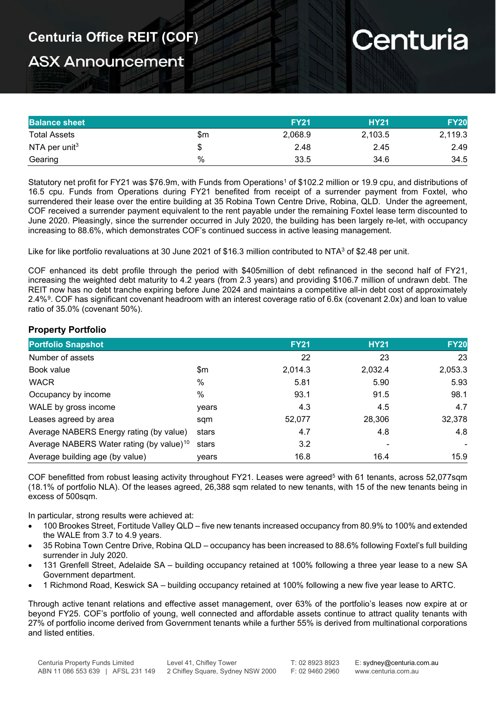# **ASX Announcement**

# Centuria

| <b>Balance sheet</b>      |     | <b>FY21</b> | <b>HY21</b> | <b>FY20</b> |
|---------------------------|-----|-------------|-------------|-------------|
| <b>Total Assets</b>       | \$m | 2,068.9     | 2,103.5     | 2,119.3     |
| NTA per unit <sup>3</sup> | J   | 2.48        | 2.45        | 2.49        |
| Gearing                   | %   | 33.5        | 34.6        | 34.5        |

Statutory net profit for FY21 was \$76.9m, with Funds from Operations<sup>1</sup> of \$102.2 million or 19.9 cpu, and distributions of 16.5 cpu. Funds from Operations during FY21 benefited from receipt of a surrender payment from Foxtel, who surrendered their lease over the entire building at 35 Robina Town Centre Drive, Robina, QLD. Under the agreement, COF received a surrender payment equivalent to the rent payable under the remaining Foxtel lease term discounted to June 2020. Pleasingly, since the surrender occurred in July 2020, the building has been largely re-let, with occupancy increasing to 88.6%, which demonstrates COF's continued success in active leasing management.

Like for like portfolio revaluations at 30 June 2021 of \$16.3 million contributed to NTA<sup>3</sup> of \$2.48 per unit.

COF enhanced its debt profile through the period with \$405million of debt refinanced in the second half of FY21, increasing the weighted debt maturity to 4.2 years (from 2.3 years) and providing \$106.7 million of undrawn debt. The REIT now has no debt tranche expiring before June 2024 and maintains a competitive all-in debt cost of approximately 2.4%<sup>[9](#page-3-8)</sup>. COF has significant covenant headroom with an interest coverage ratio of 6.6x (covenant 2.0x) and loan to value ratio of 35.0% (covenant 50%).

## **Property Portfolio**

| <b>Portfolio Snapshot</b>                            |       | <b>FY21</b> | <b>HY21</b> | <b>FY20</b> |
|------------------------------------------------------|-------|-------------|-------------|-------------|
| Number of assets                                     |       | 22          | 23          | 23          |
| Book value                                           | \$m   | 2,014.3     | 2,032.4     | 2,053.3     |
| <b>WACR</b>                                          | $\%$  | 5.81        | 5.90        | 5.93        |
| Occupancy by income                                  | $\%$  | 93.1        | 91.5        | 98.1        |
| WALE by gross income                                 | years | 4.3         | 4.5         | 4.7         |
| Leases agreed by area                                | sqm   | 52,077      | 28,306      | 32,378      |
| Average NABERS Energy rating (by value)              | stars | 4.7         | 4.8         | 4.8         |
| Average NABERS Water rating (by value) <sup>10</sup> | stars | 3.2         |             |             |
| Average building age (by value)                      | vears | 16.8        | 16.4        | 15.9        |

COF benefitted from robust leasing activity throughout FY21. Leases were agreed<sup>5</sup> with 61 tenants, across 52,077sqm (18.1% of portfolio NLA). Of the leases agreed, 26,388 sqm related to new tenants, with 15 of the new tenants being in excess of 500sqm.

In particular, strong results were achieved at:

- 100 Brookes Street, Fortitude Valley QLD five new tenants increased occupancy from 80.9% to 100% and extended the WALE from 3.7 to 4.9 years.
- 35 Robina Town Centre Drive, Robina QLD occupancy has been increased to 88.6% following Foxtel's full building surrender in July 2020.
- 131 Grenfell Street, Adelaide SA building occupancy retained at 100% following a three year lease to a new SA Government department.
- 1 Richmond Road, Keswick SA building occupancy retained at 100% following a new five year lease to ARTC.

Through active tenant relations and effective asset management, over 63% of the portfolio's leases now expire at or beyond FY25. COF's portfolio of young, well connected and affordable assets continue to attract quality tenants with 27% of portfolio income derived from Government tenants while a further 55% is derived from multinational corporations and listed entities.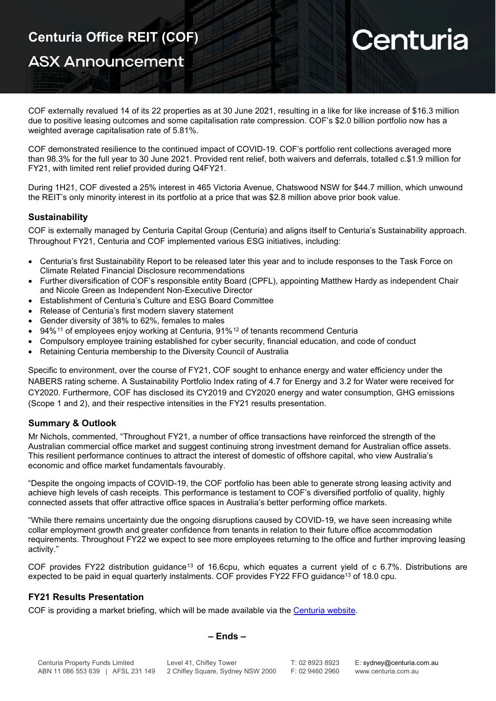## **ASX Announcement**

# Centuria

COF externally revalued 14 of its 22 properties as at 30 June 2021, resulting in a like for like increase of \$16.3 million due to positive leasing outcomes and some capitalisation rate compression. COF's \$2.0 billion portfolio now has a weighted average capitalisation rate of 5.81%.

COF demonstrated resilience to the continued impact of COVID-19. COF's portfolio rent collections averaged more than 98.3% for the full year to 30 June 2021. Provided rent relief, both waivers and deferrals, totalled c.\$1.9 million for FY21, with limited rent relief provided during Q4FY21.

During 1H21, COF divested a 25% interest in 465 Victoria Avenue, Chatswood NSW for \$44.7 million, which unwound the REIT's only minority interest in its portfolio at a price that was \$2.8 million above prior book value.

## **Sustainability**

COF is externally managed by Centuria Capital Group (Centuria) and aligns itself to Centuria's Sustainability approach. Throughout FY21, Centuria and COF implemented various ESG initiatives, including:

- Centuria's first Sustainability Report to be released later this year and to include responses to the Task Force on Climate Related Financial Disclosure recommendations
- Further diversification of COF's responsible entity Board (CPFL), appointing Matthew Hardy as independent Chair and Nicole Green as Independent Non-Executive Director
- Establishment of Centuria's Culture and ESG Board Committee
- Release of Centuria's first modern slavery statement
- Gender diversity of 38% to 62%, females to males
- 94%[11](#page-3-10) of employees enjoy working at Centuria, 91%[12](#page-3-11) of tenants recommend Centuria
- Compulsory employee training established for cyber security, financial education, and code of conduct
- Retaining Centuria membership to the Diversity Council of Australia

Specific to environment, over the course of FY21, COF sought to enhance energy and water efficiency under the NABERS rating scheme. A Sustainability Portfolio Index rating of 4.7 for Energy and 3.2 for Water were received for CY2020. Furthermore, COF has disclosed its CY2019 and CY2020 energy and water consumption, GHG emissions (Scope 1 and 2), and their respective intensities in the FY21 results presentation.

## **Summary & Outlook**

Mr Nichols, commented, "Throughout FY21, a number of office transactions have reinforced the strength of the Australian commercial office market and suggest continuing strong investment demand for Australian office assets. This resilient performance continues to attract the interest of domestic of offshore capital, who view Australia's economic and office market fundamentals favourably.

"Despite the ongoing impacts of COVID-19, the COF portfolio has been able to generate strong leasing activity and achieve high levels of cash receipts. This performance is testament to COF's diversified portfolio of quality, highly connected assets that offer attractive office spaces in Australia's better performing office markets.

"While there remains uncertainty due the ongoing disruptions caused by COVID-19, we have seen increasing white collar employment growth and greater confidence from tenants in relation to their future office accommodation requirements. Throughout FY22 we expect to see more employees returning to the office and further improving leasing activity."

COF provides FY22 distribution guidance<sup>[13](#page-3-12)</sup> of 16.6cpu, which equates a current yield of c 6.7%. Distributions are expected to be paid in equal quarterly instalments. COF provides FY22 FFO guidance<sup>13</sup> of 18.0 cpu.

## **FY21 Results Presentation**

COF is providing a market briefing, which will be made available via the [Centuria website.](https://centuria.com.au/office-reit/investor-centre/annual-results/fy21/)

### **– Ends –**